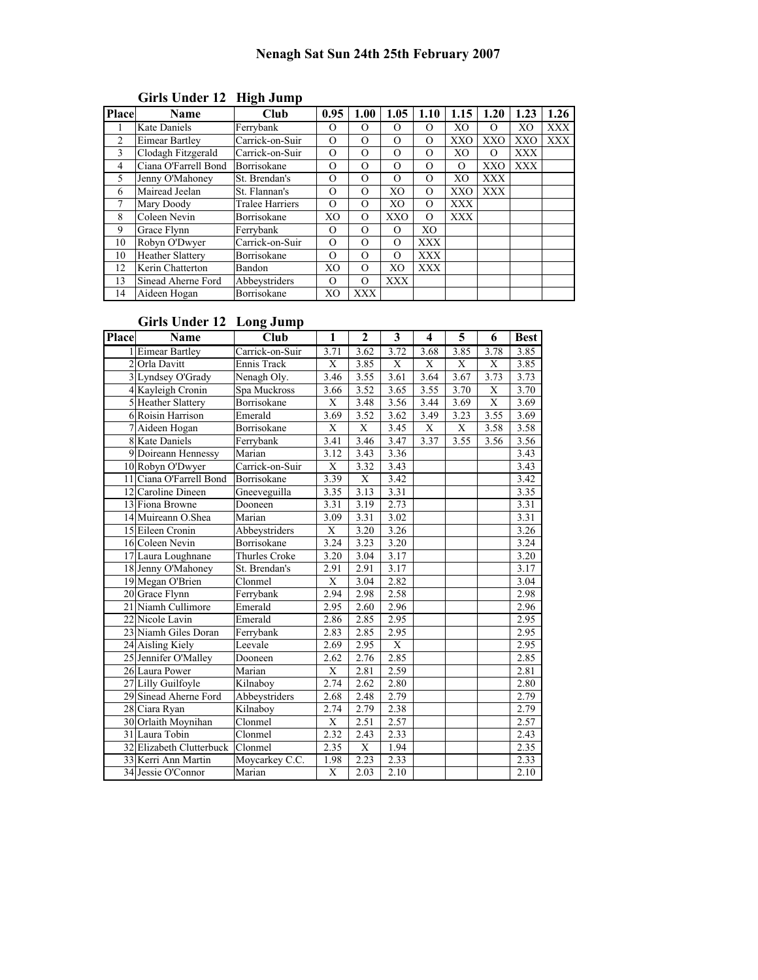| Place | <b>Name</b>             | Club                   | 0.95           | 1.00     | 1.05           | 1.10       | 1.15           | 1.20       | 1.23       | 1.26       |
|-------|-------------------------|------------------------|----------------|----------|----------------|------------|----------------|------------|------------|------------|
|       | <b>Kate Daniels</b>     | Ferrybank              | O              | $\Omega$ | $\Omega$       | $\Omega$   | X <sub>O</sub> | $\Omega$   | XО         | <b>XXX</b> |
| 2     | <b>Eimear Bartley</b>   | Carrick-on-Suir        | $\Omega$       | $\Omega$ | $\Omega$       | $\Omega$   | XXO            | <b>XXO</b> | <b>XXO</b> | <b>XXX</b> |
| 3     | Clodagh Fitzgerald      | Carrick-on-Suir        | O              | $\Omega$ | $\Omega$       | O          | XO             | $\Omega$   | <b>XXX</b> |            |
| 4     | Ciana O'Farrell Bond    | Borrisokane            | $\Omega$       | $\Omega$ | $\Omega$       | $\Omega$   | $\Omega$       | XXO        | <b>XXX</b> |            |
| 5     | Jenny O'Mahoney         | St. Brendan's          | $\Omega$       | $\Omega$ | $\Omega$       | $\Omega$   | X <sub>O</sub> | <b>XXX</b> |            |            |
| 6     | Mairead Jeelan          | St. Flannan's          | $\Omega$       | $\Omega$ | X <sub>O</sub> | $\Omega$   | XXO            | <b>XXX</b> |            |            |
|       | Mary Doody              | <b>Tralee Harriers</b> | $\Omega$       | $\Omega$ | X <sub>O</sub> | $\Omega$   | <b>XXX</b>     |            |            |            |
| 8     | Coleen Nevin            | Borrisokane            | XO             | $\Omega$ | XXO            | $\Omega$   | <b>XXX</b>     |            |            |            |
| 9     | Grace Flynn             | Ferrybank              | O              | $\Omega$ | $\Omega$       | XO         |                |            |            |            |
| 10    | Robyn O'Dwyer           | Carrick-on-Suir        | $\Omega$       | $\Omega$ | $\Omega$       | <b>XXX</b> |                |            |            |            |
| 10    | <b>Heather Slattery</b> | Borrisokane            | $\Omega$       | $\Omega$ | $\Omega$       | <b>XXX</b> |                |            |            |            |
| 12    | Kerin Chatterton        | <b>Bandon</b>          | X <sub>O</sub> | $\Omega$ | X <sub>O</sub> | <b>XXX</b> |                |            |            |            |
| 13    | Sinead Aherne Ford      | Abbeystriders          | $\Omega$       | $\Omega$ | XXX            |            |                |            |            |            |
| 14    | Aideen Hogan            | Borrisokane            | XO             | XXX      |                |            |                |            |            |            |

# Girls Under 12 High Jump

Girls Under 12 Long Jump

| Place | Name                     | Club            | 1                       | $\mathbf{2}$      | 3           | 4    | 5           | 6              | <b>Best</b> |
|-------|--------------------------|-----------------|-------------------------|-------------------|-------------|------|-------------|----------------|-------------|
|       | 1 Eimear Bartley         | Carrick-on-Suir | 3.71                    | 3.62              | 3.72        | 3.68 | 3.85        | 3.78           | 3.85        |
|       | 2 Orla Davitt            | Ennis Track     | X                       | 3.85              | $\mathbf X$ | X    | $\mathbf X$ | X              | 3.85        |
|       | 3 Lyndsey O'Grady        | Nenagh Oly.     | 3.46                    | 3.55              | 3.61        | 3.64 | 3.67        | 3.73           | 3.73        |
|       | 4 Kayleigh Cronin        | Spa Muckross    | 3.66                    | 3.52              | 3.65        | 3.55 | 3.70        | X              | 3.70        |
|       | 5 Heather Slattery       | Borrisokane     | X                       | 3.48              | 3.56        | 3.44 | 3.69        | $\overline{X}$ | 3.69        |
|       | 6 Roisin Harrison        | Emerald         | 3.69                    | 3.52              | 3.62        | 3.49 | 3.23        | 3.55           | 3.69        |
|       | 7 Aideen Hogan           | Borrisokane     | X                       | X                 | 3.45        | X    | X           | 3.58           | 3.58        |
|       | 8 Kate Daniels           | Ferrybank       | 3.41                    | 3.46              | 3.47        | 3.37 | 3.55        | 3.56           | 3.56        |
|       | 9 Doireann Hennessy      | Marian          | 3.12                    | 3.43              | 3.36        |      |             |                | 3.43        |
|       | 10 Robyn O'Dwyer         | Carrick-on-Suir | X                       | 3.32              | 3.43        |      |             |                | 3.43        |
|       | 11 Ciana O'Farrell Bond  | Borrisokane     | 3.39                    | $\mathbf X$       | 3.42        |      |             |                | 3.42        |
|       | 12 Caroline Dineen       | Gneeveguilla    | 3.35                    | 3.13              | 3.31        |      |             |                | 3.35        |
|       | 13 Fiona Browne          | Dooneen         | 3.31                    | $\overline{3.19}$ | 2.73        |      |             |                | 3.31        |
|       | 14 Muireann O.Shea       | Marian          | 3.09                    | 3.31              | 3.02        |      |             |                | 3.31        |
|       | 15 Eileen Cronin         | Abbeystriders   | X                       | 3.20              | 3.26        |      |             |                | 3.26        |
|       | 16 Coleen Nevin          | Borrisokane     | 3.24                    | 3.23              | 3.20        |      |             |                | 3.24        |
|       | 17 Laura Loughnane       | Thurles Croke   | 3.20                    | 3.04              | 3.17        |      |             |                | 3.20        |
|       | 18 Jenny O'Mahoney       | St. Brendan's   | 2.91                    | 2.91              | 3.17        |      |             |                | 3.17        |
|       | 19 Megan O'Brien         | Clonmel         | $\overline{X}$          | 3.04              | 2.82        |      |             |                | 3.04        |
|       | 20 Grace Flynn           | Ferrybank       | 2.94                    | 2.98              | 2.58        |      |             |                | 2.98        |
|       | 21 Niamh Cullimore       | Emerald         | 2.95                    | 2.60              | 2.96        |      |             |                | 2.96        |
|       | 22 Nicole Lavin          | Emerald         | 2.86                    | 2.85              | 2.95        |      |             |                | 2.95        |
|       | 23 Niamh Giles Doran     | Ferrybank       | 2.83                    | 2.85              | 2.95        |      |             |                | 2.95        |
|       | 24 Aisling Kiely         | Leevale         | 2.69                    | 2.95              | X           |      |             |                | 2.95        |
|       | 25 Jennifer O'Malley     | Dooneen         | 2.62                    | 2.76              | 2.85        |      |             |                | 2.85        |
|       | 26 Laura Power           | Marian          | $\overline{\mathrm{X}}$ | 2.81              | 2.59        |      |             |                | 2.81        |
|       | 27 Lilly Guilfoyle       | Kilnabov        | 2.74                    | 2.62              | 2.80        |      |             |                | 2.80        |
|       | 29 Sinead Aherne Ford    | Abbeystriders   | 2.68                    | 2.48              | 2.79        |      |             |                | 2.79        |
|       | 28 Ciara Ryan            | Kilnaboy        | 2.74                    | 2.79              | 2.38        |      |             |                | 2.79        |
|       | 30 Orlaith Moynihan      | Clonmel         | $\mathbf X$             | 2.51              | 2.57        |      |             |                | 2.57        |
|       | 31 Laura Tobin           | Clonmel         | 2.32                    | 2.43              | 2.33        |      |             |                | 2.43        |
|       | 32 Elizabeth Clutterbuck | Clonmel         | 2.35                    | $\overline{X}$    | 1.94        |      |             |                | 2.35        |
|       | 33 Kerri Ann Martin      | Moycarkey C.C.  | 1.98                    | 2.23              | 2.33        |      |             |                | 2.33        |
|       | 34 Jessie O'Connor       | Marian          | $\overline{X}$          | 2.03              | 2.10        |      |             |                | 2.10        |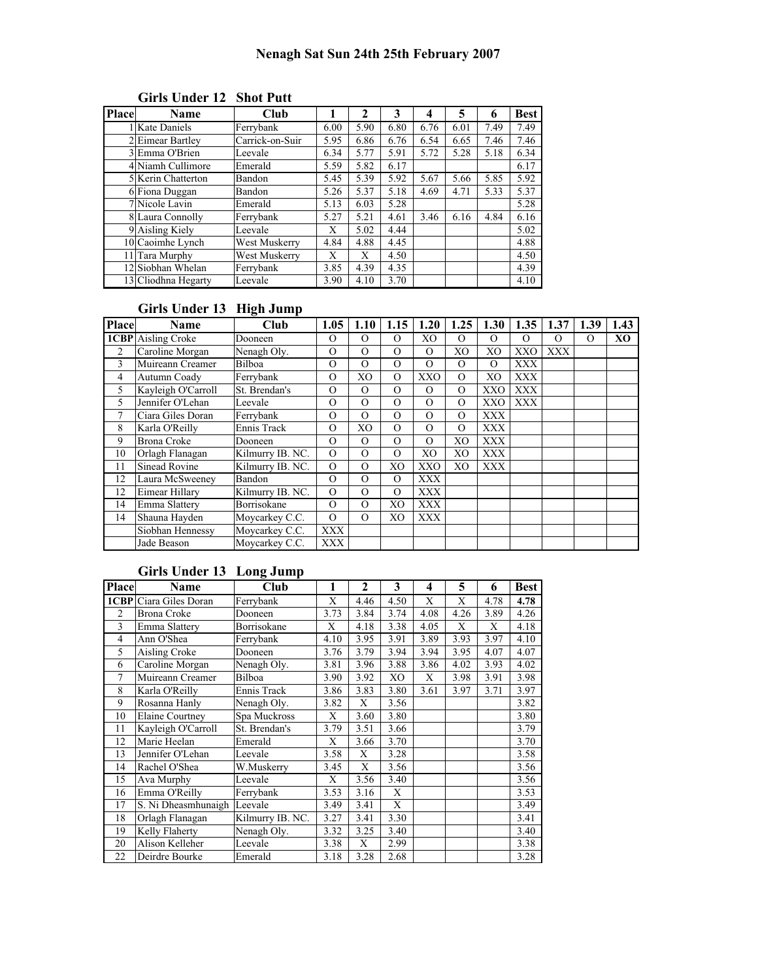| <b>Place</b> | Name                | Club            |      | 2    | 3    | 4    | 5    | 6    | <b>Best</b> |
|--------------|---------------------|-----------------|------|------|------|------|------|------|-------------|
|              | l Kate Daniels      | Ferrybank       | 6.00 | 5.90 | 6.80 | 6.76 | 6.01 | 7.49 | 7.49        |
|              | 2 Eimear Bartley    | Carrick-on-Suir | 5.95 | 6.86 | 6.76 | 6.54 | 6.65 | 7.46 | 7.46        |
|              | 3 Emma O'Brien      | Leevale         | 6.34 | 5.77 | 5.91 | 5.72 | 5.28 | 5.18 | 6.34        |
|              | 4 Niamh Cullimore   | Emerald         | 5.59 | 5.82 | 6.17 |      |      |      | 6.17        |
|              | 5 Kerin Chatterton  | Bandon          | 5.45 | 5.39 | 5.92 | 5.67 | 5.66 | 5.85 | 5.92        |
|              | 6 Fiona Duggan      | Bandon          | 5.26 | 5.37 | 5.18 | 4.69 | 4.71 | 5.33 | 5.37        |
|              | 7 Nicole Lavin      | Emerald         | 5.13 | 6.03 | 5.28 |      |      |      | 5.28        |
|              | 8 Laura Connolly    | Ferrybank       | 5.27 | 5.21 | 4.61 | 3.46 | 6.16 | 4.84 | 6.16        |
|              | 9 Aisling Kiely     | Leevale         | X    | 5.02 | 4.44 |      |      |      | 5.02        |
|              | 10 Caoimhe Lynch    | West Muskerry   | 4.84 | 4.88 | 4.45 |      |      |      | 4.88        |
|              | 11 Tara Murphy      | West Muskerry   | X    | X    | 4.50 |      |      |      | 4.50        |
|              | 12 Siobhan Whelan   | Ferrybank       | 3.85 | 4.39 | 4.35 |      |      |      | 4.39        |
|              | 13 Cliodhna Hegarty | Leevale         | 3.90 | 4.10 | 3.70 |      |      |      | 4.10        |

#### Girls Under 12 Shot Putt

# Girls Under 13 High Jump

| <b>Place</b>   | Name                      | <b>Club</b>      | 1.05       | 1.10           | 1.15           | 1.20           | 1.25           | 1.30           | 1.35       | 1.37       | 1.39     | 1.43           |
|----------------|---------------------------|------------------|------------|----------------|----------------|----------------|----------------|----------------|------------|------------|----------|----------------|
|                | <b>1CBP</b> Aisling Croke | Dooneen          | $\Omega$   | $\Omega$       | $\Omega$       | X <sub>O</sub> | $\Omega$       | $\Omega$       | $\Omega$   | O          | $\Omega$ | X <sub>O</sub> |
| $\overline{c}$ | Caroline Morgan           | Nenagh Oly.      | $\Omega$   | $\Omega$       | $\Omega$       | $\Omega$       | XO             | X <sub>O</sub> | <b>XXO</b> | <b>XXX</b> |          |                |
| 3              | Muireann Creamer          | <b>Bilboa</b>    | $\Omega$   | $\Omega$       | $\Omega$       | $\Omega$       | $\Omega$       | $\Omega$       | <b>XXX</b> |            |          |                |
| 4              | Autumn Coady              | Ferrybank        | $\Omega$   | X <sub>O</sub> | $\Omega$       | XXO            | $\Omega$       | X <sub>O</sub> | <b>XXX</b> |            |          |                |
| 5              | Kayleigh O'Carroll        | St. Brendan's    | $\Omega$   | $\Omega$       | $\Omega$       | $\Omega$       | $\Omega$       | XXO            | <b>XXX</b> |            |          |                |
| 5              | Jennifer O'Lehan          | Leevale          | $\Omega$   | $\Omega$       | $\Omega$       | $\Omega$       | $\Omega$       | <b>XXO</b>     | <b>XXX</b> |            |          |                |
| 7              | Ciara Giles Doran         | Ferrybank        | $\Omega$   | $\Omega$       | $\Omega$       | $\Omega$       | $\Omega$       | <b>XXX</b>     |            |            |          |                |
| 8              | Karla O'Reilly            | Ennis Track      | $\Omega$   | X <sub>O</sub> | $\Omega$       | $\Omega$       | $\Omega$       | <b>XXX</b>     |            |            |          |                |
| 9              | <b>Brona Croke</b>        | Dooneen          | $\Omega$   | $\Omega$       | $\Omega$       | $\Omega$       | X <sub>O</sub> | <b>XXX</b>     |            |            |          |                |
| 10             | Orlagh Flanagan           | Kilmurry IB. NC. | $\Omega$   | $\Omega$       | $\Omega$       | XO             | XO             | <b>XXX</b>     |            |            |          |                |
| 11             | Sinead Rovine             | Kilmurry IB, NC. | $\Omega$   | $\Omega$       | X <sub>O</sub> | XXO            | X <sub>O</sub> | <b>XXX</b>     |            |            |          |                |
| 12             | Laura McSweeney           | Bandon           | $\Omega$   | $\Omega$       | $\Omega$       | XXX            |                |                |            |            |          |                |
| 12             | Eimear Hillary            | Kilmurry IB. NC. | $\Omega$   | $\Omega$       | $\Omega$       | <b>XXX</b>     |                |                |            |            |          |                |
| 14             | Emma Slattery             | Borrisokane      | $\Omega$   | $\Omega$       | XO             | <b>XXX</b>     |                |                |            |            |          |                |
| 14             | Shauna Hayden             | Moycarkey C.C.   | $\Omega$   | $\Omega$       | XO             | XXX            |                |                |            |            |          |                |
|                | Siobhan Hennessy          | Moycarkey C.C.   | <b>XXX</b> |                |                |                |                |                |            |            |          |                |
|                | Jade Beason               | Movcarkey C.C.   | XXX        |                |                |                |                |                |            |            |          |                |

## Girls Under 13 Long Jump

| <b>Place</b>   | Name                          | Club             | 1    | $\mathbf{2}$ | 3              | 4    | 5    | 6    | <b>Best</b> |
|----------------|-------------------------------|------------------|------|--------------|----------------|------|------|------|-------------|
|                | <b>1CBP</b> Ciara Giles Doran | Ferrybank        | X    | 4.46         | 4.50           | X    | X    | 4.78 | 4.78        |
| $\overline{c}$ | <b>Brona Croke</b>            | Dooneen          | 3.73 | 3.84         | 3.74           | 4.08 | 4.26 | 3.89 | 4.26        |
| 3              | Emma Slattery                 | Borrisokane      | X    | 4.18         | 3.38           | 4.05 | X    | X    | 4.18        |
| 4              | Ann O'Shea                    | Ferrybank        | 4.10 | 3.95         | 3.91           | 3.89 | 3.93 | 3.97 | 4.10        |
| 5              | Aisling Croke                 | Dooneen          | 3.76 | 3.79         | 3.94           | 3.94 | 3.95 | 4.07 | 4.07        |
| 6              | Caroline Morgan               | Nenagh Oly.      | 3.81 | 3.96         | 3.88           | 3.86 | 4.02 | 3.93 | 4.02        |
| 7              | Muireann Creamer              | Bilboa           | 3.90 | 3.92         | X <sub>O</sub> | X    | 3.98 | 3.91 | 3.98        |
| 8              | Karla O'Reilly                | Ennis Track      | 3.86 | 3.83         | 3.80           | 3.61 | 3.97 | 3.71 | 3.97        |
| 9              | Rosanna Hanly                 | Nenagh Oly.      | 3.82 | X            | 3.56           |      |      |      | 3.82        |
| 10             | <b>Elaine Courtney</b>        | Spa Muckross     | X    | 3.60         | 3.80           |      |      |      | 3.80        |
| 11             | Kayleigh O'Carroll            | St. Brendan's    | 3.79 | 3.51         | 3.66           |      |      |      | 3.79        |
| 12             | Marie Heelan                  | Emerald          | X    | 3.66         | 3.70           |      |      |      | 3.70        |
| 13             | Jennifer O'Lehan              | Leevale          | 3.58 | X            | 3.28           |      |      |      | 3.58        |
| 14             | Rachel O'Shea                 | W.Muskerry       | 3.45 | X            | 3.56           |      |      |      | 3.56        |
| 15             | Ava Murphy                    | Leevale          | X    | 3.56         | 3.40           |      |      |      | 3.56        |
| 16             | Emma O'Reilly                 | Ferrybank        | 3.53 | 3.16         | X              |      |      |      | 3.53        |
| 17             | S. Ni Dheasmhunaigh           | Leevale          | 3.49 | 3.41         | X              |      |      |      | 3.49        |
| 18             | Orlagh Flanagan               | Kilmurry IB. NC. | 3.27 | 3.41         | 3.30           |      |      |      | 3.41        |
| 19             | Kelly Flaherty                | Nenagh Oly.      | 3.32 | 3.25         | 3.40           |      |      |      | 3.40        |
| 20             | Alison Kelleher               | Leevale          | 3.38 | X            | 2.99           |      |      |      | 3.38        |
| 22             | Deirdre Bourke                | Emerald          | 3.18 | 3.28         | 2.68           |      |      |      | 3.28        |